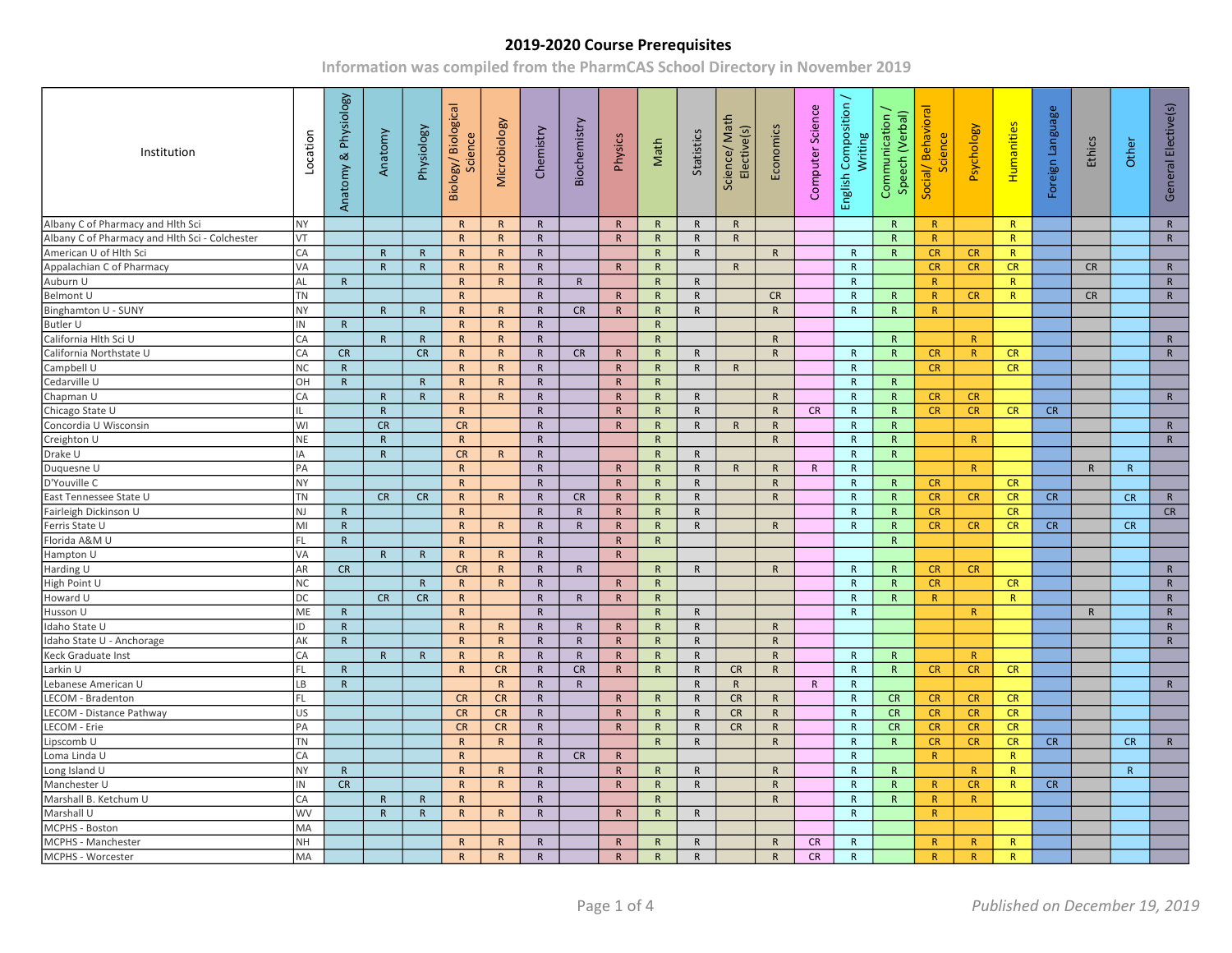| Institution                                    | Location                 | & Physiology<br>Anatomy | Anatomy      | Physiology   | Biology/Biological<br>Science | Microbiology    | Chemistry    | Biochemistry | Physics      | Math         | Statistics   | Science/ Math<br>Elective(s) | Economics    | Computer Science | English Composition /<br>Writing | Communication /<br>Speech (Verbal) | Social/Behavioral<br>Science | Psychology | Humanities   | Foreign Language | Ethics       | Other        | General Elective(s) |  |
|------------------------------------------------|--------------------------|-------------------------|--------------|--------------|-------------------------------|-----------------|--------------|--------------|--------------|--------------|--------------|------------------------------|--------------|------------------|----------------------------------|------------------------------------|------------------------------|------------|--------------|------------------|--------------|--------------|---------------------|--|
| Albany C of Pharmacy and Hlth Sci              | NY                       |                         |              |              | R                             | R               | $\mathsf{R}$ |              | $\mathsf{R}$ | $\mathsf{R}$ | $\mathsf{R}$ | R                            |              |                  |                                  | $\mathsf{R}$                       | R                            |            | R            |                  |              |              | ${\sf R}$           |  |
| Albany C of Pharmacy and Hlth Sci - Colchester | VT                       |                         |              |              | $\mathsf{R}$                  | R               | $\mathsf{R}$ |              | $\mathsf{R}$ | $\mathsf{R}$ | $\mathsf{R}$ | $\mathsf{R}$                 |              |                  |                                  | $\mathsf{R}$                       | R                            |            | R            |                  |              |              | ${\sf R}$           |  |
| American U of Hlth Sci                         | CA                       |                         | $\mathsf{R}$ | $\mathsf{R}$ | $\mathsf{R}$                  | $\mathsf{R}$    | $\mathsf{R}$ |              |              | $\mathsf{R}$ | $\mathsf{R}$ |                              | R            |                  | $\mathsf{R}$                     | R                                  | CR                           | <b>CR</b>  | R            |                  |              |              |                     |  |
| Appalachian C of Pharmacy                      | VA                       |                         | $\mathsf{R}$ | R            | R                             | R               | $\mathsf{R}$ |              | $\mathsf{R}$ | $\mathsf{R}$ |              | $\mathsf{R}$                 |              |                  | $\mathsf{R}$                     |                                    | CR                           | CR         | CR           |                  | <b>CR</b>    |              | $\mathsf{R}$        |  |
| Auburn U                                       | AL                       | $\mathsf{R}$            |              |              | $\mathsf{R}$                  | $\mathsf{R}$    | $\mathsf{R}$ | $\mathsf{R}$ |              | $\mathsf{R}$ | $\mathsf{R}$ |                              |              |                  | $\mathsf{R}$                     |                                    | R                            |            | R            |                  |              |              | ${\sf R}$           |  |
| Belmont U                                      | <b>TN</b>                |                         |              |              | R                             |                 | $\mathsf{R}$ |              | $\mathsf{R}$ | $\mathsf{R}$ | $\mathsf{R}$ |                              | <b>CR</b>    |                  | $\mathsf{R}$                     | $\mathsf{R}$                       | R                            | CR         | $\mathsf{R}$ |                  | <b>CR</b>    |              | ${\sf R}$           |  |
| Binghamton U - SUNY                            | NY                       |                         | R            | R            | R                             | R               | $\mathsf{R}$ | CR           | $\mathsf{R}$ | R            | R            |                              | R            |                  | $\mathsf{R}$                     | R                                  | R                            |            |              |                  |              |              |                     |  |
| <b>Butler U</b>                                | IN                       | $\mathsf{R}$            |              |              | $\mathsf{R}$                  | R               | $\mathsf{R}$ |              |              | $\mathsf{R}$ |              |                              |              |                  |                                  |                                    |                              |            |              |                  |              |              |                     |  |
| California Hlth Sci U                          | CA                       |                         | $\mathsf{R}$ | R            | R                             | R               | $\mathsf{R}$ |              |              | $\mathsf{R}$ |              |                              | R            |                  |                                  | $\mathsf{R}$                       |                              | R          |              |                  |              |              | $\mathsf{R}$        |  |
| California Northstate U                        | CA                       | CR                      |              | CR           | R                             | R               | $\mathsf{R}$ | <b>CR</b>    | $\mathsf{R}$ | $\mathsf{R}$ | $\mathsf{R}$ |                              | $\mathsf{R}$ |                  | R                                | $\mathsf{R}$                       | CR                           | R          | CR           |                  |              |              | $\mathsf{R}$        |  |
| Campbell U                                     | <b>NC</b>                | $\mathsf{R}$            |              |              | R                             | $\mathsf{R}$    | $\mathsf{R}$ |              | $\mathsf{R}$ | R            | $\mathsf{R}$ | $\mathsf{R}$                 |              |                  | R                                |                                    | CR                           |            | <b>CR</b>    |                  |              |              |                     |  |
| Cedarville U                                   | OH                       | $\mathsf{R}$            |              | R            | $\mathsf{R}$                  | R               | $\mathsf{R}$ |              | $\mathsf{R}$ | $\mathsf{R}$ |              |                              |              |                  | $\mathsf{R}$                     | $\mathsf{R}$                       |                              |            |              |                  |              |              |                     |  |
| Chapman U                                      | CA                       |                         | $\mathsf{R}$ | $\mathsf{R}$ | $\mathsf{R}$                  | R               | $\mathsf{R}$ |              | $\mathsf{R}$ | $\mathsf{R}$ | $\mathsf{R}$ |                              | $\mathsf{R}$ |                  | $\mathsf{R}$                     | $\mathsf{R}$                       | CR                           | <b>CR</b>  |              |                  |              |              | $\mathsf{R}$        |  |
| Chicago State U                                |                          |                         | $\mathsf{R}$ |              | R                             |                 | $\mathsf{R}$ |              | $\mathsf{R}$ | $\mathsf{R}$ | $\mathsf{R}$ |                              | $\mathsf{R}$ | <b>CR</b>        | R                                | $\mathsf{R}$                       | CR                           | CR         | CR           | CR               |              |              |                     |  |
| Concordia U Wisconsin                          | WI                       |                         | CR           |              | <b>CR</b>                     |                 | $\mathsf{R}$ |              | $\mathsf{R}$ | R            | ${\sf R}$    | $\mathsf{R}$                 | ${\sf R}$    |                  | $\mathsf{R}$                     | $\mathsf{R}$                       |                              |            |              |                  |              |              | $\mathsf{R}$        |  |
| Creighton U                                    | NE.                      |                         | $\mathsf{R}$ |              | R                             |                 | $\mathsf{R}$ |              |              | $\mathsf{R}$ |              |                              | $\mathsf{R}$ |                  | $\mathsf{R}$                     | $\mathsf{R}$                       |                              | R          |              |                  |              |              | $\mathsf{R}$        |  |
| Drake U                                        | IA                       |                         | R            |              | CR                            | $\mathsf{R}$    | $\mathsf{R}$ |              |              | $\mathsf{R}$ | $\mathsf{R}$ |                              |              |                  | $\mathsf{R}$                     | $\mathsf{R}$                       |                              |            |              |                  |              |              |                     |  |
| Duquesne U                                     | PA                       |                         |              |              | $\overline{R}$                |                 | $\mathsf{R}$ |              | $\mathsf{R}$ | $\mathsf{R}$ | $\mathsf{R}$ | R                            | $\mathsf{R}$ | $\mathsf{R}$     | $\mathsf{R}$                     |                                    |                              | R          |              |                  | $\mathsf{R}$ | $\mathsf{R}$ |                     |  |
| D'Youville C                                   | NΥ                       |                         |              |              | R                             |                 | $\mathsf{R}$ |              | $\mathsf{R}$ | ${\sf R}$    | ${\sf R}$    |                              | $\mathsf{R}$ |                  | $\mathsf{R}$                     | ${\sf R}$                          | CR                           |            | CR           |                  |              |              |                     |  |
| East Tennessee State U                         | TN                       |                         | CR           | CR           | R                             | R               | $\mathsf{R}$ | <b>CR</b>    | $\mathsf{R}$ | R            | $\mathsf{R}$ |                              | R            |                  | $\mathsf{R}$                     | R                                  | <b>CR</b>                    | <b>CR</b>  | CR           | CR               |              | CR           | $\mathsf{R}$        |  |
| Fairleigh Dickinson U                          | NJ                       | $\mathsf{R}$            |              |              | $\mathsf{R}$                  |                 | $\mathsf{R}$ | $\mathsf{R}$ | $\mathsf{R}$ | $\mathsf{R}$ | ${\sf R}$    |                              |              |                  | $\mathsf{R}$                     | $\mathsf{R}$                       | CR                           |            | CR           |                  |              |              | CR                  |  |
| Ferris State U                                 | MI                       | $\mathsf{R}$            |              |              | R                             | R               | $\mathsf{R}$ | $\mathsf{R}$ | $\mathsf{R}$ | $\mathsf{R}$ | $\mathsf{R}$ |                              | $\mathsf{R}$ |                  | R                                | $\mathsf{R}$                       | <b>CR</b>                    | CR.        | CR           | <b>CR</b>        |              | CR           |                     |  |
| Florida A&M U                                  | FL                       | ${\sf R}$               |              |              | R                             |                 | $\mathsf{R}$ |              | $\mathsf{R}$ | R            |              |                              |              |                  |                                  | $\mathsf{R}$                       |                              |            |              |                  |              |              |                     |  |
| Hampton U                                      | VA                       |                         | $\mathsf{R}$ | R            | $\mathsf{R}$                  | R               | $\mathsf{R}$ |              | $\mathsf{R}$ |              |              |                              |              |                  |                                  |                                    |                              |            |              |                  |              |              |                     |  |
| Harding U                                      | AR                       | CR                      |              |              | CR                            | $R_{\parallel}$ | $\mathsf{R}$ | $\mathsf{R}$ |              | $\mathsf{R}$ | $\mathsf{R}$ |                              | $\mathsf{R}$ |                  | $\mathsf{R}$                     | $\mathsf{R}$                       | CR                           | CR         |              |                  |              |              | $\mathsf{R}$        |  |
| High Point U                                   | NC                       |                         |              | $\mathsf{R}$ | R                             | R               | $\mathsf{R}$ |              | $\mathsf{R}$ | R            |              |                              |              |                  | $\mathsf{R}$                     | R                                  | <b>CR</b>                    |            | <b>CR</b>    |                  |              |              | $\mathsf{R}$        |  |
| Howard U                                       | DC                       |                         | CR           | CR           | $\mathsf{R}$                  |                 | $\mathsf{R}$ | $\mathsf{R}$ | $\mathsf{R}$ | $\mathsf{R}$ |              |                              |              |                  | $\mathsf{R}$                     | $\mathsf{R}$                       | R                            |            | $\mathsf{R}$ |                  |              |              | ${\sf R}$           |  |
| Husson U                                       | ME                       | $\mathsf{R}$            |              |              | R                             |                 | $\mathsf{R}$ |              |              | R            | $\mathsf{R}$ |                              |              |                  | R                                |                                    |                              | R          |              |                  | $\mathsf{R}$ |              | $\mathsf{R}$        |  |
| Idaho State U                                  | ID                       | $\mathsf{R}$            |              |              | R                             | $\mathsf{R}$    | $\mathsf{R}$ | $\mathsf{R}$ | $\mathsf{R}$ | $\mathsf{R}$ | $\mathsf{R}$ |                              | ${\sf R}$    |                  |                                  |                                    |                              |            |              |                  |              |              | ${\sf R}$           |  |
| Idaho State U - Anchorage                      | $\overline{\mathsf{AK}}$ | $\mathsf{R}$            |              |              | $\mathsf{R}$                  | R               | $\mathsf{R}$ | $\mathsf{R}$ | $\mathsf{R}$ | $\mathsf{R}$ | $\mathsf{R}$ |                              | $\mathsf{R}$ |                  |                                  |                                    |                              |            |              |                  |              |              | $\mathsf{R}$        |  |
| Keck Graduate Inst                             | CA                       |                         | $\mathsf{R}$ | $\mathsf{R}$ | $\mathsf{R}$                  | $\mathsf{R}$    | $\mathsf{R}$ | $\mathsf{R}$ | $\mathsf{R}$ | $\mathsf{R}$ | $\mathsf{R}$ |                              | $\mathsf{R}$ |                  | $\mathsf{R}$                     | $\mathsf{R}$                       |                              | R          |              |                  |              |              |                     |  |
| Larkin U                                       | FL                       | $\mathsf{R}$            |              |              | R                             | CR              | ${\sf R}$    | CR           | $\mathsf{R}$ | R            | $\mathsf{R}$ | CR                           | R            |                  | R                                | $\mathsf{R}$                       | CR                           | <b>CR</b>  | CR           |                  |              |              |                     |  |
| Lebanese American U                            | LB                       | $\mathsf{R}$            |              |              |                               | $\mathsf{R}$    | $\mathsf{R}$ | $\mathsf{R}$ |              |              | $\mathsf{R}$ | $\mathsf{R}$                 |              | R                | $\mathsf{R}$                     |                                    |                              |            |              |                  |              |              | $\mathsf{R}$        |  |
| LECOM - Bradenton                              | FL.                      |                         |              |              | <b>CR</b>                     | <b>CR</b>       | $\mathsf{R}$ |              | R            | $\mathsf{R}$ | $\mathsf{R}$ | <b>CR</b>                    | $\mathsf{R}$ |                  | $\mathsf{R}$                     | CR                                 | <b>CR</b>                    | <b>CR</b>  | CR           |                  |              |              |                     |  |
| LECOM - Distance Pathway                       | US                       |                         |              |              | <b>CR</b>                     | CR              | $\mathsf{R}$ |              | $\mathsf{R}$ | $\mathsf{R}$ | $\mathsf{R}$ | CR                           | R            |                  | $\mathsf{R}$                     | CR                                 | CR                           | <b>CR</b>  | CR           |                  |              |              |                     |  |
| LECOM - Erie                                   | PA                       |                         |              |              | <b>CR</b>                     | CR              | $\mathsf{R}$ |              | $\mathsf{R}$ | $\mathsf{R}$ | ${\sf R}$    | CR                           | $\mathsf{R}$ |                  | $\mathsf{R}$                     | <b>CR</b>                          | CR                           | <b>CR</b>  | CR           |                  |              |              |                     |  |
| Lipscomb U                                     | <b>TN</b>                |                         |              |              | R                             | R               | $\mathsf{R}$ |              |              | $\mathsf{R}$ | $\mathsf{R}$ |                              | $\mathsf{R}$ |                  | $\mathsf{R}$                     | $\mathsf{R}$                       | CR                           | <b>CR</b>  | CR           | CR               |              | <b>CR</b>    | $\mathsf{R}$        |  |
| Loma Linda U                                   | CA                       |                         |              |              | R                             |                 | $\mathsf{R}$ | CR           | $\mathsf{R}$ |              |              |                              |              |                  | $\mathsf{R}$                     |                                    | R                            |            | R            |                  |              |              |                     |  |
| Long Island U                                  | NY                       | R                       |              |              | R                             | $\mathsf{R}$    | $\mathsf{R}$ |              | $\mathsf{R}$ | $\mathsf{R}$ | R            |                              | R            |                  | $\mathsf{R}$                     | R                                  |                              | R          | $\mathsf{R}$ |                  |              | $\mathsf{R}$ |                     |  |
| Manchester U                                   | IN                       | CR                      |              |              | R                             | R               | $\mathsf{R}$ |              | $\mathsf{R}$ | $\mathsf{R}$ | $\mathsf{R}$ |                              | $\mathsf{R}$ |                  | $\mathsf{R}$                     | $\mathsf{R}$                       | R                            | CR         | R            | CR               |              |              |                     |  |
| Marshall B. Ketchum U                          | CA                       |                         | $\mathsf{R}$ | $\mathsf{R}$ | R                             |                 | $\mathsf{R}$ |              |              | $\mathsf{R}$ |              |                              | R            |                  | R                                | $\mathsf{R}$                       | R                            | R          |              |                  |              |              |                     |  |
| Marshall U                                     | <b>WV</b>                |                         | $\mathsf{R}$ | $\mathsf{R}$ | R                             | R               | $\mathsf{R}$ |              | $\mathsf{R}$ | $\mathsf{R}$ | $\mathsf{R}$ |                              |              |                  | $\mathsf{R}$                     |                                    | R                            |            |              |                  |              |              |                     |  |
| MCPHS - Boston                                 | MA                       |                         |              |              |                               |                 |              |              |              |              |              |                              |              |                  |                                  |                                    |                              |            |              |                  |              |              |                     |  |
| MCPHS - Manchester                             | <b>NH</b>                |                         |              |              | R                             | $\mathsf{R}$    | $\mathsf{R}$ |              | $\mathsf{R}$ | $\mathsf{R}$ | $\mathsf{R}$ |                              | $\mathsf{R}$ | <b>CR</b>        | R                                |                                    | R                            | R          | $\mathsf{R}$ |                  |              |              |                     |  |
| MCPHS - Worcester                              | MA                       |                         |              |              | R                             | R               | $\mathsf{R}$ |              | $\mathsf{R}$ | R            | $\mathsf{R}$ |                              | $\mathsf{R}$ | CR               | $\mathsf{R}$                     |                                    | R                            | R          | R            |                  |              |              |                     |  |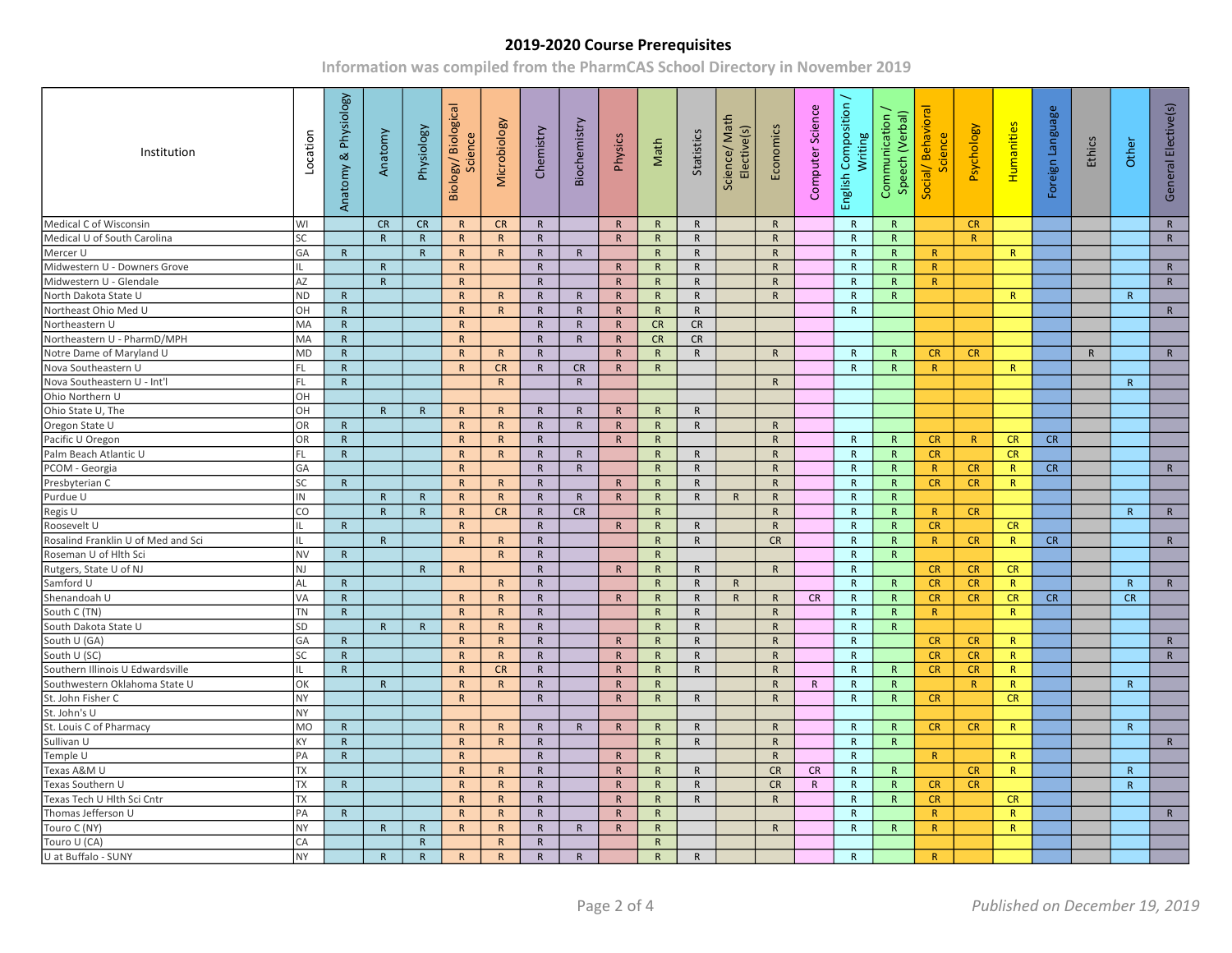| Institution                        | Location  | Anatomy & Physiology | Anatomy      | Physiology     | Biology/Biological<br>Science | Microbiology    | Chemistry    | Biochemistry | Physics      | Math         | Statistics   | Science/Math<br>Elective(s) | Economics    | Computer Science | English Composition /<br>Writing | Communication /<br>Speech (Verbal) | Social/Behavioral<br>Science | Psychology   | Humanities   | Foreign Language | Ethics       | Other        | General Elective(s) |  |
|------------------------------------|-----------|----------------------|--------------|----------------|-------------------------------|-----------------|--------------|--------------|--------------|--------------|--------------|-----------------------------|--------------|------------------|----------------------------------|------------------------------------|------------------------------|--------------|--------------|------------------|--------------|--------------|---------------------|--|
| Medical C of Wisconsin             | WI        |                      | CR           | <b>CR</b>      | R                             | <b>CR</b>       | R            |              | $\mathsf{R}$ | $\mathsf{R}$ | $\mathsf{R}$ |                             | R            |                  | R                                | R                                  |                              | CR.          |              |                  |              |              | $\mathsf{R}$        |  |
| Medical U of South Carolina        | SC        |                      | R            | $\mathsf{R}$   | R                             | R               | $\mathsf{R}$ |              | $\mathsf{R}$ | R            | $\mathsf{R}$ |                             | $\mathsf{R}$ |                  | R                                | R                                  |                              | R            |              |                  |              |              | ${\sf R}$           |  |
| Mercer U                           | GA        | $\mathsf{R}$         |              | R              | R                             | R               | $\mathsf{R}$ | $\mathsf{R}$ |              | $\mathsf{R}$ | $\mathsf{R}$ |                             | $\mathsf{R}$ |                  | R                                | $\mathsf{R}$                       | R                            |              | $\mathsf{R}$ |                  |              |              |                     |  |
| Midwestern U - Downers Grove       |           |                      | $\mathsf{R}$ |                | $\mathsf{R}$                  |                 | $\mathsf{R}$ |              | $\mathsf{R}$ | $\mathsf{R}$ | $\mathsf{R}$ |                             | $\mathsf{R}$ |                  | $\mathsf{R}$                     | R                                  | R                            |              |              |                  |              |              | $\mathsf{R}$        |  |
| Midwestern U - Glendale            | AZ        |                      | $\mathsf{R}$ |                | R                             |                 | $\mathsf{R}$ |              | $\mathsf{R}$ | $\mathsf{R}$ | $\mathsf{R}$ |                             | $\mathsf{R}$ |                  | $\mathsf{R}$                     | $\mathsf{R}$                       | R                            |              |              |                  |              |              | $\mathsf{R}$        |  |
| North Dakota State U               | ND        | $\mathsf{R}$         |              |                | R                             | $\mathsf{R}$    | $\mathsf{R}$ | $\mathsf{R}$ | $\mathsf{R}$ | R            | $\mathsf{R}$ |                             | $\mathsf{R}$ |                  | $\mathsf{R}$                     | $\mathsf{R}$                       |                              |              | R            |                  |              | R            |                     |  |
| Northeast Ohio Med U               | OH        | $\mathsf{R}$         |              |                | R                             | R               | $\mathsf{R}$ | $\mathsf{R}$ | $\mathsf{R}$ | $\mathsf{R}$ | $\mathsf{R}$ |                             |              |                  | $\mathsf{R}$                     |                                    |                              |              |              |                  |              |              | $\mathsf{R}$        |  |
| Northeastern U                     | MA        | $\mathsf{R}$         |              |                | R                             |                 | $\mathsf{R}$ | $\mathsf{R}$ | $\mathsf{R}$ | CR           | <b>CR</b>    |                             |              |                  |                                  |                                    |                              |              |              |                  |              |              |                     |  |
| Northeastern U - PharmD/MPH        | MA        | $\mathsf{R}$         |              |                | R                             |                 | $\mathsf{R}$ | $\mathsf{R}$ | $\mathsf{R}$ | CR           | <b>CR</b>    |                             |              |                  |                                  |                                    |                              |              |              |                  |              |              |                     |  |
| Notre Dame of Maryland U           | MD        | ${\sf R}$            |              |                | $\mathsf{R}$                  | $\mathsf{R}$    | ${\sf R}$    |              | $\mathsf{R}$ | $\mathsf{R}$ | ${\sf R}$    |                             | $\mathsf{R}$ |                  | $\mathsf{R}$                     | $\mathsf{R}$                       | CR                           | <b>CR</b>    |              |                  | $\mathsf{R}$ |              | ${\sf R}$           |  |
| Nova Southeastern U                | FL.       | $\mathsf{R}$         |              |                | R                             | CR              | $\mathsf{R}$ | <b>CR</b>    | $\mathsf{R}$ | R            |              |                             |              |                  | $\mathsf{R}$                     | $\mathsf{R}$                       | R                            |              | R            |                  |              |              |                     |  |
| Nova Southeastern U - Int'l        | FL        | ${\sf R}$            |              |                |                               | $R_{\parallel}$ |              | $\mathsf{R}$ |              |              |              |                             | R            |                  |                                  |                                    |                              |              |              |                  |              | $\mathsf{R}$ |                     |  |
| Ohio Northern U                    | OH        |                      |              |                |                               |                 |              |              |              |              |              |                             |              |                  |                                  |                                    |                              |              |              |                  |              |              |                     |  |
| Ohio State U, The                  | OH        |                      | $\mathsf{R}$ | $\mathsf{R}$   | $\mathsf{R}$                  | R               | $\mathsf{R}$ | $\mathsf{R}$ | $\mathsf{R}$ | $\mathsf{R}$ | $\mathsf{R}$ |                             |              |                  |                                  |                                    |                              |              |              |                  |              |              |                     |  |
| Oregon State U                     | OR        | $\mathsf{R}$         |              |                | R                             | R               | $\mathsf{R}$ | $\mathsf{R}$ | $\mathsf{R}$ | R            | R            |                             | R            |                  |                                  |                                    |                              |              |              |                  |              |              |                     |  |
| Pacific U Oregon                   | OR        | $\mathsf{R}$         |              |                | $\mathsf{R}$                  | $\mathsf{R}$    | $\mathsf{R}$ |              | $\mathsf{R}$ | $\mathsf{R}$ |              |                             | $\mathsf{R}$ |                  | $\mathsf{R}$                     | $\mathsf{R}$                       | CR                           | R            | CR           | CR               |              |              |                     |  |
| Palm Beach Atlantic U              | FL.       | $\mathsf{R}$         |              |                | R                             | R               | $\mathsf{R}$ | R            |              | R            | $\mathsf{R}$ |                             | $\mathsf{R}$ |                  | R                                | R                                  | CR                           |              | CR           |                  |              |              |                     |  |
| PCOM - Georgia                     | GA        |                      |              |                | $\mathsf{R}$                  |                 | $\mathsf{R}$ | $\mathsf{R}$ |              | $\mathsf{R}$ | $\mathsf{R}$ |                             | $\mathsf{R}$ |                  | $\mathsf{R}$                     | $\mathsf{R}$                       | R                            | CR           | R            | <b>CR</b>        |              |              | $\mathsf{R}$        |  |
| Presbyterian C                     | SC        | $\mathsf{R}$         |              |                | $\mathsf{R}$                  | $\mathsf{R}$    | $\mathsf{R}$ |              | $\mathsf{R}$ | $\mathsf{R}$ | $\mathsf{R}$ |                             | $\mathsf{R}$ |                  | R                                | $\mathsf{R}$                       | CR                           | <b>CR</b>    | R            |                  |              |              |                     |  |
| Purdue U                           | IN        |                      | $\mathsf{R}$ | $\mathsf{R}$   | $\mathsf{R}$                  | $\mathsf{R}$    | $\mathsf{R}$ | $\mathsf{R}$ | $\mathsf{R}$ | $\mathsf{R}$ | ${\sf R}$    | $\mathsf{R}$                | ${\sf R}$    |                  | $\mathsf{R}$                     | ${\sf R}$                          |                              |              |              |                  |              |              |                     |  |
| Regis U                            | CO        |                      | $\mathsf{R}$ | R              | R                             | CR              | $\mathsf{R}$ | <b>CR</b>    |              | $\mathsf{R}$ |              |                             | $\mathsf{R}$ |                  | $\mathsf{R}$                     | R                                  | R                            | <b>CR</b>    |              |                  |              | R            | $\mathsf{R}$        |  |
| Roosevelt U                        |           | $\mathsf{R}$         |              |                | R                             |                 | $\mathsf{R}$ |              | $\mathsf{R}$ | $\mathsf{R}$ | $\mathsf{R}$ |                             | $\mathsf{R}$ |                  | $\mathsf{R}$                     | $\mathsf{R}$                       | CR                           |              | CR           |                  |              |              |                     |  |
| Rosalind Franklin U of Med and Sci |           |                      | $\mathsf{R}$ |                | R                             | $\mathsf{R}$    | ${\sf R}$    |              |              | $\mathsf{R}$ | ${\sf R}$    |                             | CR           |                  | $\mathsf{R}$                     | $\mathsf{R}$                       | R                            | CR           | R            | CR               |              |              | $\mathsf{R}$        |  |
| Roseman U of Hlth Sci              | <b>NV</b> | $\mathsf{R}$         |              |                |                               | R               | $\mathsf{R}$ |              |              | $\mathsf{R}$ |              |                             |              |                  | $\mathsf{R}$                     | R                                  |                              |              |              |                  |              |              |                     |  |
| Rutgers, State U of NJ             | NJ        |                      |              | $\mathsf{R}$   | R                             |                 | $\mathsf{R}$ |              | $\mathsf{R}$ | $\mathsf{R}$ | $\mathsf{R}$ |                             | R            |                  | $\mathsf{R}$                     |                                    | CR                           | <b>CR</b>    | CR           |                  |              |              |                     |  |
| Samford U                          | AL        | $\mathsf{R}$         |              |                |                               | $\mathsf{R}$    | $\mathsf{R}$ |              |              | $\mathsf{R}$ | $\mathsf{R}$ | $\mathsf{R}$                |              |                  | $\mathsf{R}$                     | R                                  | CR                           | CR           | R            |                  |              | $\mathsf{R}$ | $\mathsf{R}$        |  |
| Shenandoah U                       | VA        | $\mathsf{R}$         |              |                | R                             | $\mathsf{R}$    | $\mathsf{R}$ |              | $\mathsf{R}$ | $\mathsf{R}$ | $\mathsf{R}$ | $\mathsf{R}$                | $\mathsf{R}$ | <b>CR</b>        | $\mathsf{R}$                     | $\mathsf{R}$                       | CR                           | CR           | CR           | CR               |              | CR           |                     |  |
| South C (TN)                       | TN        | $\mathsf{R}$         |              |                | R                             | $\mathsf{R}$    | $\mathsf{R}$ |              |              | R            | $\mathsf{R}$ |                             | $\mathsf{R}$ |                  | $\mathsf{R}$                     | R                                  | R                            |              | R            |                  |              |              |                     |  |
| South Dakota State U               | SD        |                      | $\mathsf{R}$ | $\mathsf{R}$   | R                             | R               | $\mathsf{R}$ |              |              | $\mathsf{R}$ | $\mathsf{R}$ |                             | $\mathsf{R}$ |                  | $\mathsf{R}$                     | R                                  |                              |              |              |                  |              |              |                     |  |
| South U (GA)                       | GA        | $\mathsf{R}$         |              |                | R                             | R               | $\mathsf{R}$ |              | $\mathsf{R}$ | $\mathsf{R}$ | $\mathsf{R}$ |                             | ${\sf R}$    |                  | $\mathsf{R}$                     |                                    | CR                           | CR           | R            |                  |              |              | $\mathsf{R}$        |  |
| South U (SC)                       | SC        | $\mathsf{R}$         |              |                | $\mathsf{R}$                  | $\mathsf{R}$    | $\mathsf{R}$ |              | $\mathsf{R}$ | $\mathsf{R}$ | $\mathsf{R}$ |                             | $\mathsf{R}$ |                  | $\mathsf{R}$                     |                                    | CR                           | CR           | R            |                  |              |              | $\mathsf{R}$        |  |
| Southern Illinois U Edwardsville   |           | $\mathsf{R}$         |              |                | R                             | CR              | $\mathsf{R}$ |              | $\mathsf{R}$ | $\mathsf{R}$ | $\mathsf{R}$ |                             | ${\sf R}$    |                  | $\mathsf{R}$                     | $\mathsf{R}$                       | CR                           | CR           | R            |                  |              |              |                     |  |
| Southwestern Oklahoma State U      | OK        |                      | R            |                | R                             | R               | $\mathsf{R}$ |              | $\mathsf{R}$ | $\mathsf{R}$ |              |                             | $\mathsf{R}$ | R                | $\mathsf{R}$                     | $\mathsf{R}$                       |                              | $\mathsf{R}$ | R            |                  |              | $\mathsf{R}$ |                     |  |
| St. John Fisher C                  | <b>NY</b> |                      |              |                | $\mathsf{R}$                  |                 | $\mathsf{R}$ |              | $\mathsf{R}$ | $\mathsf{R}$ | $\mathsf{R}$ |                             | $\mathsf{R}$ |                  | R                                | $\mathsf{R}$                       | CR                           |              | CR           |                  |              |              |                     |  |
| St. John's U                       | <b>NY</b> |                      |              |                |                               |                 |              |              |              |              |              |                             |              |                  |                                  |                                    |                              |              |              |                  |              |              |                     |  |
| St. Louis C of Pharmacy            | MO        | $\mathsf{R}$         |              |                | $\mathsf{R}$                  | $\mathsf{R}$    | $\mathsf{R}$ | $\mathsf{R}$ | $\mathsf{R}$ | $\mathsf{R}$ | $\mathsf{R}$ |                             | $\mathsf{R}$ |                  | $\mathsf{R}$                     | R                                  | CR                           | CR           | R            |                  |              | R            |                     |  |
| Sullivan U                         | KY        | $\mathsf{R}$         |              |                | R                             | $\mathsf{R}$    | ${\sf R}$    |              |              | $\mathsf{R}$ | $\mathsf{R}$ |                             | $\mathsf{R}$ |                  | $\mathsf{R}$                     | R                                  |                              |              |              |                  |              |              | $\mathsf{R}$        |  |
| Temple U                           | PA        | $\mathsf{R}$         |              |                | $\overline{R}$                |                 | $\mathsf{R}$ |              | $\mathsf{R}$ | $\mathsf{R}$ |              |                             | ${\sf R}$    |                  | $\mathsf{R}$                     |                                    | R                            |              | $\mathsf{R}$ |                  |              |              |                     |  |
| Texas A&M U                        | TX        |                      |              |                | R                             | $\mathsf{R}$    | $\mathsf{R}$ |              | $\mathsf{R}$ | $\mathsf{R}$ | $\mathsf{R}$ |                             | <b>CR</b>    | <b>CR</b>        | $\mathsf{R}$                     | R                                  |                              | <b>CR</b>    | R            |                  |              | $\mathsf{R}$ |                     |  |
| Texas Southern U                   | TX        | $\mathsf{R}$         |              |                | $\mathsf{R}$                  | $\mathsf{R}$    | ${\sf R}$    |              | ${\sf R}$    | $\mathsf{R}$ | ${\sf R}$    |                             | CR           | $\mathsf{R}$     | $\mathsf{R}$                     | ${\sf R}$                          | CR                           | CR           |              |                  |              | $\mathsf{R}$ |                     |  |
| Texas Tech U Hlth Sci Cntr         | <b>TX</b> |                      |              |                | R                             | R               | $\mathsf{R}$ |              | $\mathsf{R}$ | R            | R            |                             | $\mathsf{R}$ |                  | R                                | R                                  | CR                           |              | CR           |                  |              |              |                     |  |
| Thomas Jefferson U                 | PA        | $\mathsf{R}$         |              |                | $\mathsf{R}$                  | $\mathsf{R}$    | $\mathsf{R}$ |              | $\mathsf{R}$ | $\mathsf{R}$ |              |                             |              |                  | $\mathsf{R}$                     |                                    | R                            |              | $\mathsf{R}$ |                  |              |              | $\mathsf{R}$        |  |
| Touro C (NY)                       | <b>NY</b> |                      | R            | $\mathsf{R}$   | $\mathsf{R}$                  | $\mathsf{R}$    | $\mathsf{R}$ | $\mathsf{R}$ | $\mathsf{R}$ | R            |              |                             | $\mathsf{R}$ |                  | $\mathsf{R}$                     | R                                  | R                            |              | $\mathsf{R}$ |                  |              |              |                     |  |
| Touro U (CA)                       | CA        |                      |              | $\overline{R}$ |                               | $\mathsf{R}$    | $\mathsf{R}$ |              |              | $\mathsf{R}$ |              |                             |              |                  |                                  |                                    |                              |              |              |                  |              |              |                     |  |
| U at Buffalo - SUNY                | <b>NY</b> |                      | $\mathsf{R}$ | R              | R                             | R               | $\mathsf{R}$ | $\mathsf{R}$ |              | R            | $\mathsf{R}$ |                             |              |                  | R                                |                                    | R                            |              |              |                  |              |              |                     |  |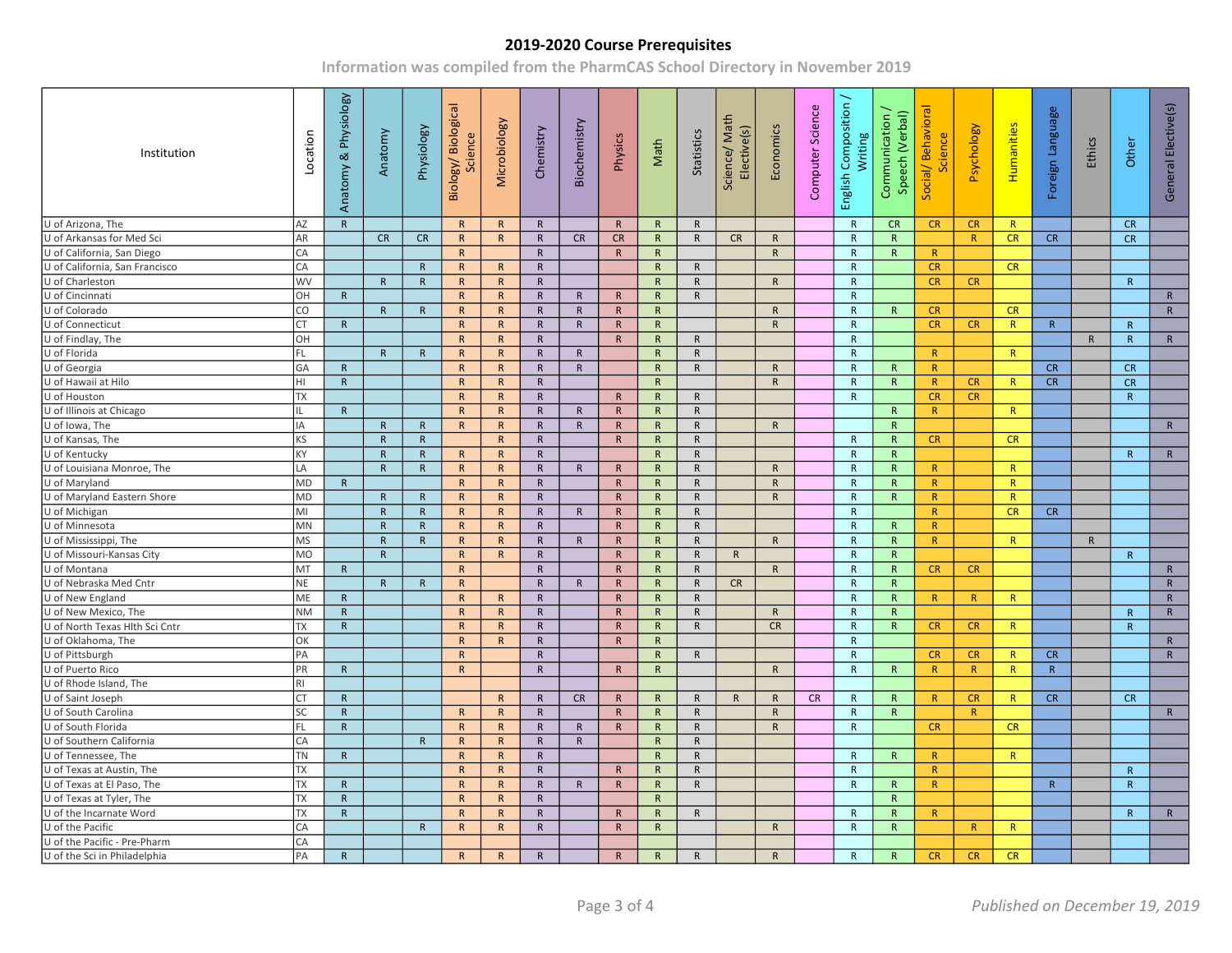| Institution                    | Location       | Anatomy & Physiology | Anatomy      | Physiology   | Biology/Biological<br>Science | Microbiology | Chemistry    | Biochemistry | Physics      | Math         | Statistics   | Science/Math<br>Elective(s) | Economics    | Science<br>Computer | English Composition /<br>Writing | Communication /<br>Speech (Verbal) | Social/Behaviora<br>Science | Psychology | Humanities   | Foreign Language | Ethics       | Other          | General Elective(s) |  |
|--------------------------------|----------------|----------------------|--------------|--------------|-------------------------------|--------------|--------------|--------------|--------------|--------------|--------------|-----------------------------|--------------|---------------------|----------------------------------|------------------------------------|-----------------------------|------------|--------------|------------------|--------------|----------------|---------------------|--|
| U of Arizona, The              | AZ             | $\mathsf{R}$         |              |              | R                             | $\mathsf{R}$ | $\mathsf{R}$ |              | $\mathsf{R}$ | $\mathsf{R}$ | $\mathsf{R}$ |                             |              |                     | R                                | <b>CR</b>                          | CR                          | CR         | R            |                  |              | CR             |                     |  |
| U of Arkansas for Med Sci      | AR             |                      | CR           | CR           | R                             | $\mathsf{R}$ | $\mathsf{R}$ | CR           | CR           | R            | $\mathsf{R}$ | CR                          | $\mathsf{R}$ |                     | R                                | R                                  |                             | R          | CR           | CR               |              | CR             |                     |  |
| U of California, San Diego     | CA             |                      |              |              | R                             |              | $\mathsf{R}$ |              | $\mathsf{R}$ | $\mathsf{R}$ |              |                             | R            |                     | $\mathsf{R}$                     | R                                  | R                           |            |              |                  |              |                |                     |  |
| U of California, San Francisco | CA             |                      |              | R            | R                             | $\mathsf{R}$ | $\mathsf{R}$ |              |              | R            | $\mathsf{R}$ |                             |              |                     | $\mathsf{R}$                     |                                    | CR                          |            | CR           |                  |              |                |                     |  |
| U of Charleston                | <b>WV</b>      |                      | R            | $\mathsf{R}$ | $\mathsf{R}$                  | $\mathsf{R}$ | $\mathsf{R}$ |              |              | $\mathsf{R}$ | $\mathsf{R}$ |                             | $\mathsf{R}$ |                     | R                                |                                    | CR                          | CR         |              |                  |              | R              |                     |  |
| U of Cincinnati                | OH             | $\mathsf{R}$         |              |              | R                             | $\mathsf{R}$ | $\mathsf{R}$ | $\mathsf{R}$ | $\mathsf{R}$ | $\mathsf{R}$ | $\mathsf{R}$ |                             |              |                     | $\mathsf{R}$                     |                                    |                             |            |              |                  |              |                | $\mathsf{R}$        |  |
| U of Colorado                  | CO             |                      | R            | R            | $\mathsf{R}$                  | $\mathsf{R}$ | $\mathsf{R}$ | $\mathsf{R}$ | R            | R            |              |                             | R            |                     | $\mathsf{R}$                     | R                                  | CR                          |            | <b>CR</b>    |                  |              |                | R                   |  |
| U of Connecticut               | CT             | $\mathsf{R}$         |              |              | $\mathsf{R}$                  | $\mathsf{R}$ | $\mathsf{R}$ | $\mathsf{R}$ | $\mathsf{R}$ | $\mathsf{R}$ |              |                             | $\mathsf{R}$ |                     | $\mathsf{R}$                     |                                    | CR                          | CR         | $\mathsf{R}$ | $\mathsf{R}$     |              | $\overline{R}$ |                     |  |
| U of Findlay, The              | OH             |                      |              |              | $\mathsf{R}$                  | R            | $\mathsf{R}$ |              | $\mathsf{R}$ | R            | $\mathsf{R}$ |                             |              |                     | R                                |                                    |                             |            |              |                  | $\mathsf{R}$ | $\overline{R}$ | $\mathsf{R}$        |  |
| U of Florida                   | FL.            |                      | $\mathsf{R}$ | R            | $\mathsf{R}$                  | $\mathsf{R}$ | $\mathsf{R}$ | $\mathsf{R}$ |              | $\mathsf{R}$ | $\mathsf{R}$ |                             |              |                     | $\mathsf{R}$                     |                                    | R                           |            | R            |                  |              |                |                     |  |
| U of Georgia                   | GA             | $\mathsf{R}$         |              |              | R                             | $\mathsf{R}$ | $\mathsf{R}$ | $\mathsf{R}$ |              | $\mathsf{R}$ | $\mathsf{R}$ |                             | R            |                     | R                                | R                                  | R                           |            |              | <b>CR</b>        |              | CR             |                     |  |
| U of Hawaii at Hilo            | HI             | ${\sf R}$            |              |              | $\mathsf{R}$                  | $\mathsf{R}$ | $\mathsf{R}$ |              |              | $\mathsf{R}$ |              |                             | $\mathsf{R}$ |                     | $\mathsf{R}$                     | R                                  | R                           | CR         | R            | CR               |              | CR             |                     |  |
| U of Houston                   | <b>TX</b>      |                      |              |              | R                             | $\mathsf{R}$ | $\mathsf{R}$ |              | $\mathsf{R}$ | R            | $\mathsf{R}$ |                             |              |                     | $\mathsf{R}$                     |                                    | CR                          | <b>CR</b>  |              |                  |              | R              |                     |  |
| U of Illinois at Chicago       | Ш.             | $\mathsf{R}$         |              |              | R                             | $\mathsf{R}$ | $\mathsf{R}$ | $\mathsf{R}$ | $\mathsf{R}$ | $\mathsf{R}$ | $\mathsf{R}$ |                             |              |                     |                                  | $\mathsf{R}$                       | R                           |            | R            |                  |              |                |                     |  |
| U of Iowa, The                 | IA             |                      | $\mathsf{R}$ | R            | $\mathsf{R}$                  | $\mathsf{R}$ | $\mathsf{R}$ | $\mathsf{R}$ | R            | $\mathsf{R}$ | $\mathsf{R}$ |                             | R            |                     |                                  | R                                  |                             |            |              |                  |              |                | $\mathsf{R}$        |  |
| U of Kansas, The               | <b>KS</b>      |                      | R            | R            |                               | $\mathsf{R}$ | $\mathsf{R}$ |              | $\mathsf{R}$ | $\mathsf{R}$ | $\mathsf{R}$ |                             |              |                     | $\mathsf{R}$                     | R                                  | CR                          |            | <b>CR</b>    |                  |              |                |                     |  |
| U of Kentucky                  | KY             |                      | $\mathsf{R}$ | R            | $\mathsf{R}$                  | $\mathsf{R}$ | $\mathsf{R}$ |              |              | $\mathsf{R}$ | $\mathsf{R}$ |                             |              |                     | $\mathsf{R}$                     | R                                  |                             |            |              |                  |              | R              | $\mathsf{R}$        |  |
| U of Louisiana Monroe, The     | LA             |                      | $\mathsf{R}$ | $\mathsf{R}$ | $\mathsf{R}$                  | $\mathsf{R}$ | ${\sf R}$    | $\mathsf{R}$ | $\mathsf{R}$ | $\mathsf{R}$ | $\mathsf{R}$ |                             | $\mathsf{R}$ |                     | $\mathsf{R}$                     | $\mathsf{R}$                       | R                           |            | $\mathsf{R}$ |                  |              |                |                     |  |
| U of Maryland                  | <b>MD</b>      | $\mathsf{R}$         |              |              | R                             | $\mathsf{R}$ | $\mathsf{R}$ |              | $\mathsf{R}$ | R            | $\mathsf{R}$ |                             | $\mathsf{R}$ |                     | R                                | $\mathsf{R}$                       | R                           |            | R            |                  |              |                |                     |  |
| U of Maryland Eastern Shore    | MD             |                      | R            | R            | $\mathsf{R}$                  | $\mathsf{R}$ | $\mathsf{R}$ |              | $\mathsf{R}$ | R            | $\mathsf{R}$ |                             | R            |                     | $\mathsf{R}$                     | $\mathsf{R}$                       | R                           |            | $\mathsf{R}$ |                  |              |                |                     |  |
| U of Michigan                  | MI             |                      | $\mathsf{R}$ | R            | $\mathsf{R}$                  | $\mathsf{R}$ | $\mathsf{R}$ | $\mathsf{R}$ | $\mathsf{R}$ | $\mathsf{R}$ | $\mathsf{R}$ |                             |              |                     | $\mathsf{R}$                     |                                    | R                           |            | CR           | CR               |              |                |                     |  |
| U of Minnesota                 | MN             |                      | $\mathsf{R}$ | $\mathsf{R}$ | $\mathsf{R}$                  | $\mathsf{R}$ | $\mathsf{R}$ |              | $\mathsf{R}$ | $\mathsf{R}$ | $\mathsf{R}$ |                             |              |                     | $\mathsf{R}$                     | $\mathsf{R}$                       | R                           |            |              |                  |              |                |                     |  |
| U of Mississippi, The          | <b>MS</b>      |                      | $\mathsf{R}$ | $\mathsf{R}$ | R                             | $\mathsf{R}$ | $\mathsf{R}$ | $\mathsf{R}$ | $\mathsf{R}$ | R            | $\mathsf{R}$ |                             | R            |                     | R                                | $\mathsf{R}$                       | R                           |            | R            |                  | $\mathsf{R}$ |                |                     |  |
| U of Missouri-Kansas City      | MO             |                      | R            |              | $\mathsf{R}$                  | R            | $\mathsf{R}$ |              | $\mathsf{R}$ | $\mathsf{R}$ | $\mathsf{R}$ | R                           |              |                     | R                                | R                                  |                             |            |              |                  |              | $\mathsf{R}$   |                     |  |
| U of Montana                   | MT             | R                    |              |              | $\mathsf{R}$                  |              | $\mathsf{R}$ |              | $\mathsf{R}$ | $\mathsf{R}$ | $\mathsf{R}$ |                             | R            |                     | $\mathsf{R}$                     | $\mathsf{R}$                       | CR                          | CR         |              |                  |              |                | $\mathsf{R}$        |  |
| U of Nebraska Med Cntr         | <b>NE</b>      |                      | R            | $\mathsf{R}$ | $\mathsf{R}$                  |              | $\mathsf{R}$ | $\mathsf{R}$ | $\mathsf{R}$ | $\mathsf{R}$ | $\mathsf{R}$ | CR                          |              |                     | $\mathsf{R}$                     | $\mathsf{R}$                       |                             |            |              |                  |              |                | $\mathsf{R}$        |  |
| U of New England               | ME             | $\mathsf{R}$         |              |              | R                             | $\mathsf{R}$ | $\mathsf{R}$ |              | $\mathsf{R}$ | $\mathsf{R}$ | $\mathsf{R}$ |                             |              |                     | R                                | $\mathsf{R}$                       | R                           | R          | R            |                  |              |                | $\mathsf{R}$        |  |
| U of New Mexico, The           | <b>NM</b>      | ${\sf R}$            |              |              | $\mathsf{R}$                  | $\mathsf{R}$ | $\mathsf{R}$ |              | $\mathsf{R}$ | $\mathsf{R}$ | $\mathsf{R}$ |                             | $\mathsf{R}$ |                     | R                                | $\mathsf{R}$                       |                             |            |              |                  |              | $\mathsf{R}$   | ${\sf R}$           |  |
| U of North Texas Hlth Sci Cntr | TX             | $\mathsf{R}$         |              |              | $\mathsf{R}$                  | $\mathsf{R}$ | $\mathsf{R}$ |              | $\mathsf{R}$ | $\mathsf{R}$ | $\mathsf{R}$ |                             | <b>CR</b>    |                     | $\mathsf{R}$                     | $\mathsf{R}$                       | CR                          | CR         | R            |                  |              | R              |                     |  |
| U of Oklahoma, The             | OK             |                      |              |              | R                             | $\mathsf{R}$ | $\mathsf{R}$ |              | $\mathsf{R}$ | R            |              |                             |              |                     | R                                |                                    |                             |            |              |                  |              |                | $\mathsf{R}$        |  |
| U of Pittsburgh                | PA             |                      |              |              | $\mathsf{R}$                  |              | $\mathsf{R}$ |              |              | $\mathsf{R}$ | $\mathsf{R}$ |                             |              |                     | $\mathsf{R}$                     |                                    | CR                          | CR         | R            | CR               |              |                | $\mathsf{R}$        |  |
| U of Puerto Rico               | PR             | $\mathsf{R}$         |              |              | $\mathsf{R}$                  |              | $\mathsf{R}$ |              | $\mathsf{R}$ | $\mathsf{R}$ |              |                             | $\mathsf{R}$ |                     | $\mathsf{R}$                     | $\mathsf{R}$                       | R                           | R          | $\mathsf{R}$ | $\mathsf{R}$     |              |                |                     |  |
| U of Rhode Island, The         | R <sub>l</sub> |                      |              |              |                               |              |              |              |              |              |              |                             |              |                     |                                  |                                    |                             |            |              |                  |              |                |                     |  |
| U of Saint Joseph              | <b>CT</b>      | $\mathsf{R}$         |              |              |                               | $\mathsf{R}$ | $\mathsf{R}$ | CR           | $\mathsf{R}$ | R            | $\mathsf{R}$ | $\mathsf{R}$                | $\mathsf{R}$ | CR                  | R                                | R                                  | R                           | CR         | R            | CR               |              | CR             |                     |  |
| U of South Carolina            | SC             | $\mathsf{R}$         |              |              | R                             | $\mathsf{R}$ | $\mathsf{R}$ |              | $\mathsf{R}$ | $\mathsf{R}$ | $\mathsf{R}$ |                             | $\mathsf{R}$ |                     | $\mathsf{R}$                     | R                                  |                             | R          |              |                  |              |                | $\mathsf{R}$        |  |
| U of South Florida             | FL.            | ${\sf R}$            |              |              | R                             | $\mathsf{R}$ | ${\sf R}$    | $\mathsf{R}$ | $\mathsf{R}$ | $\mathsf{R}$ | $\mathsf{R}$ |                             | $\mathsf{R}$ |                     | R                                |                                    | CR                          |            | CR           |                  |              |                |                     |  |
| U of Southern California       | CA             |                      |              | $\mathsf{R}$ | R                             | $\mathsf{R}$ | $\mathsf{R}$ | $\mathsf{R}$ |              | $\mathsf{R}$ | $\mathsf{R}$ |                             |              |                     |                                  |                                    |                             |            |              |                  |              |                |                     |  |
| U of Tennessee, The            | <b>TN</b>      | $\mathsf{R}$         |              |              | $\mathsf{R}$                  | R            | $\mathsf{R}$ |              |              | $\mathsf{R}$ | $\mathsf{R}$ |                             |              |                     | $\mathsf{R}$                     | R                                  | R                           |            | R            |                  |              |                |                     |  |
| U of Texas at Austin, The      | <b>TX</b>      |                      |              |              | $\mathsf{R}$                  | $\mathsf{R}$ | $\mathsf{R}$ |              | $\mathsf{R}$ | $\mathsf{R}$ | $\mathsf{R}$ |                             |              |                     | $\mathsf{R}$                     |                                    | R                           |            |              |                  |              | R              |                     |  |
| U of Texas at El Paso, The     | <b>TX</b>      | $\mathsf{R}$         |              |              | $\mathsf{R}$                  | $\mathsf{R}$ | $\mathsf{R}$ | $\mathsf{R}$ | ${\sf R}$    | $\mathsf{R}$ | $\mathsf{R}$ |                             |              |                     | $\mathsf{R}$                     | $\mathsf{R}$                       | R                           |            |              | R                |              | $\mathsf{R}$   |                     |  |
| U of Texas at Tyler, The       | TX             | $\mathsf{R}$         |              |              | $\mathsf{R}$                  | $\mathsf{R}$ | $\mathsf{R}$ |              |              | R            |              |                             |              |                     |                                  | $\mathsf{R}$                       |                             |            |              |                  |              |                |                     |  |
| U of the Incarnate Word        | TX             | $\mathsf{R}$         |              |              | $\mathsf{R}$                  | $\mathsf{R}$ | $\mathsf{R}$ |              | $\mathsf{R}$ | $\mathsf{R}$ | $\mathsf{R}$ |                             |              |                     | $\mathsf{R}$                     | $\mathsf{R}$                       | R                           |            |              |                  |              | $\mathsf{R}$   | $\mathsf{R}$        |  |
| U of the Pacific               | CA             |                      |              | R            | $\mathsf{R}$                  | $\mathsf{R}$ | $\mathsf{R}$ |              | $\mathsf{R}$ | R            |              |                             | R            |                     | $\mathsf{R}$                     | R                                  |                             | R          | $\mathsf{R}$ |                  |              |                |                     |  |
| U of the Pacific - Pre-Pharm   | CA             |                      |              |              |                               |              |              |              |              |              |              |                             |              |                     |                                  |                                    |                             |            |              |                  |              |                |                     |  |
| U of the Sci in Philadelphia   | PA             | $\mathsf{R}$         |              |              | R                             | R            | $\mathsf{R}$ |              | $\mathsf{R}$ | R            | $\mathsf{R}$ |                             | R            |                     | $\mathsf{R}$                     | R                                  | <b>CR</b>                   | CR         | <b>CR</b>    |                  |              |                |                     |  |